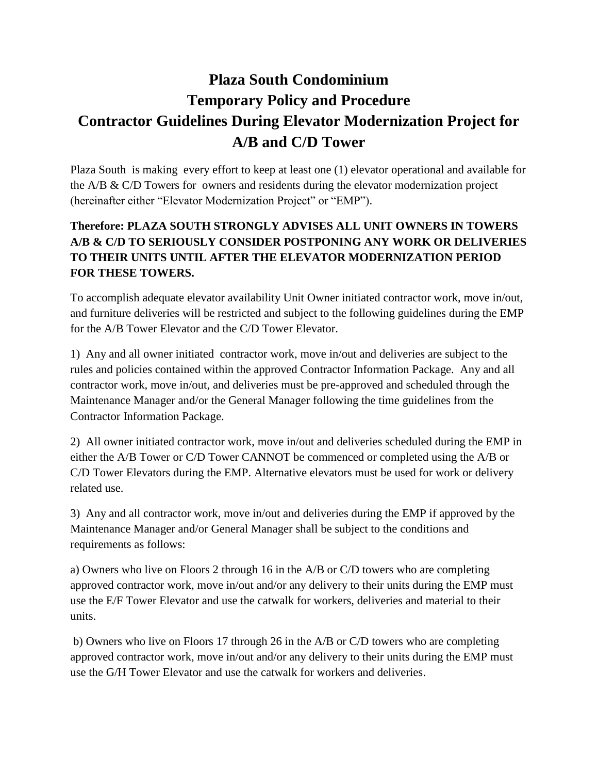## **Plaza South Condominium Temporary Policy and Procedure Contractor Guidelines During Elevator Modernization Project for A/B and C/D Tower**

Plaza South is making every effort to keep at least one (1) elevator operational and available for the A/B & C/D Towers for owners and residents during the elevator modernization project (hereinafter either "Elevator Modernization Project" or "EMP").

## **Therefore: PLAZA SOUTH STRONGLY ADVISES ALL UNIT OWNERS IN TOWERS A/B & C/D TO SERIOUSLY CONSIDER POSTPONING ANY WORK OR DELIVERIES TO THEIR UNITS UNTIL AFTER THE ELEVATOR MODERNIZATION PERIOD FOR THESE TOWERS.**

To accomplish adequate elevator availability Unit Owner initiated contractor work, move in/out, and furniture deliveries will be restricted and subject to the following guidelines during the EMP for the A/B Tower Elevator and the C/D Tower Elevator.

1) Any and all owner initiated contractor work, move in/out and deliveries are subject to the rules and policies contained within the approved Contractor Information Package. Any and all contractor work, move in/out, and deliveries must be pre-approved and scheduled through the Maintenance Manager and/or the General Manager following the time guidelines from the Contractor Information Package.

2) All owner initiated contractor work, move in/out and deliveries scheduled during the EMP in either the A/B Tower or C/D Tower CANNOT be commenced or completed using the A/B or C/D Tower Elevators during the EMP. Alternative elevators must be used for work or delivery related use.

3) Any and all contractor work, move in/out and deliveries during the EMP if approved by the Maintenance Manager and/or General Manager shall be subject to the conditions and requirements as follows:

a) Owners who live on Floors 2 through 16 in the A/B or C/D towers who are completing approved contractor work, move in/out and/or any delivery to their units during the EMP must use the E/F Tower Elevator and use the catwalk for workers, deliveries and material to their units.

b) Owners who live on Floors 17 through 26 in the A/B or C/D towers who are completing approved contractor work, move in/out and/or any delivery to their units during the EMP must use the G/H Tower Elevator and use the catwalk for workers and deliveries.